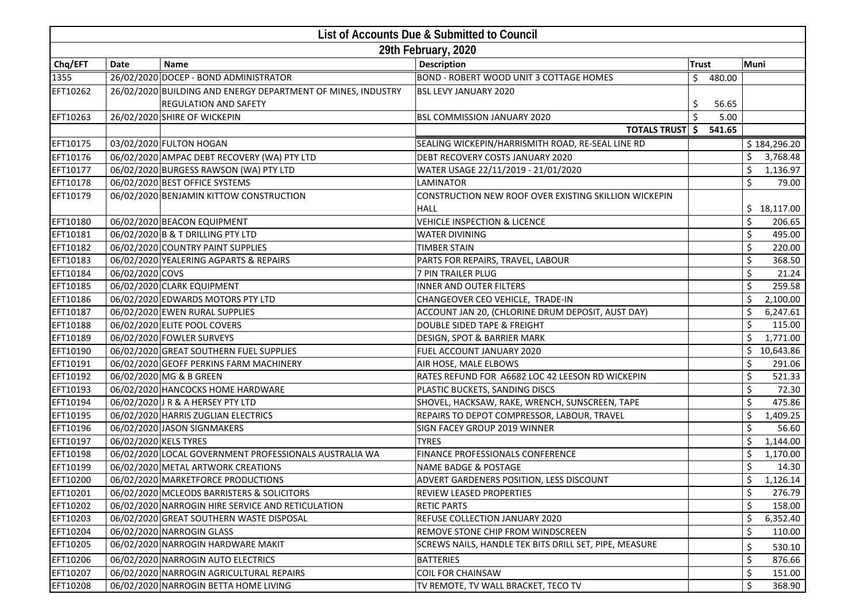| List of Accounts Due & Submitted to Council |                       |                                                              |                                                        |              |    |              |  |  |
|---------------------------------------------|-----------------------|--------------------------------------------------------------|--------------------------------------------------------|--------------|----|--------------|--|--|
| 29th February, 2020                         |                       |                                                              |                                                        |              |    |              |  |  |
| Chq/EFT                                     | Date                  | <b>Name</b>                                                  | <b>Description</b>                                     | <b>Trust</b> |    | <b>Muni</b>  |  |  |
| 1355                                        |                       | 26/02/2020 DOCEP - BOND ADMINISTRATOR                        | BOND - ROBERT WOOD UNIT 3 COTTAGE HOMES                | \$<br>480.00 |    |              |  |  |
| EFT10262                                    |                       | 26/02/2020 BUILDING AND ENERGY DEPARTMENT OF MINES, INDUSTRY | <b>BSL LEVY JANUARY 2020</b>                           |              |    |              |  |  |
|                                             |                       | <b>REGULATION AND SAFETY</b>                                 |                                                        | \$<br>56.65  |    |              |  |  |
| EFT10263                                    |                       | 26/02/2020 SHIRE OF WICKEPIN                                 | BSL COMMISSION JANUARY 2020                            | Ś.<br>5.00   |    |              |  |  |
|                                             |                       |                                                              | <b>TOTALS TRUST \$</b>                                 | 541.65       |    |              |  |  |
| EFT10175                                    |                       | 03/02/2020 FULTON HOGAN                                      | SEALING WICKEPIN/HARRISMITH ROAD, RE-SEAL LINE RD      |              |    | \$184,296.20 |  |  |
| EFT10176                                    |                       | 06/02/2020 AMPAC DEBT RECOVERY (WA) PTY LTD                  | DEBT RECOVERY COSTS JANUARY 2020                       |              | \$ | 3,768.48     |  |  |
| EFT10177                                    |                       | 06/02/2020 BURGESS RAWSON (WA) PTY LTD                       | WATER USAGE 22/11/2019 - 21/01/2020                    |              | \$ | 1,136.97     |  |  |
| EFT10178                                    |                       | 06/02/2020 BEST OFFICE SYSTEMS                               | LAMINATOR                                              |              | \$ | 79.00        |  |  |
| EFT10179                                    |                       | 06/02/2020 BENJAMIN KITTOW CONSTRUCTION                      | CONSTRUCTION NEW ROOF OVER EXISTING SKILLION WICKEPIN  |              |    |              |  |  |
|                                             |                       |                                                              | <b>HALL</b>                                            |              |    | \$18,117.00  |  |  |
| EFT10180                                    |                       | 06/02/2020 BEACON EQUIPMENT                                  | <b>VEHICLE INSPECTION &amp; LICENCE</b>                |              | \$ | 206.65       |  |  |
| EFT10181                                    |                       | 06/02/2020 B & T DRILLING PTY LTD                            | <b>WATER DIVINING</b>                                  |              | \$ | 495.00       |  |  |
| EFT10182                                    |                       | 06/02/2020 COUNTRY PAINT SUPPLIES                            | <b>TIMBER STAIN</b>                                    |              | \$ | 220.00       |  |  |
| EFT10183                                    |                       | 06/02/2020 YEALERING AGPARTS & REPAIRS                       | PARTS FOR REPAIRS, TRAVEL, LABOUR                      |              | \$ | 368.50       |  |  |
| EFT10184                                    | 06/02/2020 COVS       |                                                              | 7 PIN TRAILER PLUG                                     |              | \$ | 21.24        |  |  |
| EFT10185                                    |                       | 06/02/2020 CLARK EQUIPMENT                                   | <b>INNER AND OUTER FILTERS</b>                         |              | \$ | 259.58       |  |  |
| EFT10186                                    |                       | 06/02/2020 EDWARDS MOTORS PTY LTD                            | CHANGEOVER CEO VEHICLE, TRADE-IN                       |              | \$ | 2,100.00     |  |  |
| EFT10187                                    |                       | 06/02/2020 EWEN RURAL SUPPLIES                               | ACCOUNT JAN 20, (CHLORINE DRUM DEPOSIT, AUST DAY)      |              | \$ | 6,247.61     |  |  |
| EFT10188                                    |                       | 06/02/2020 ELITE POOL COVERS                                 | DOUBLE SIDED TAPE & FREIGHT                            |              | \$ | 115.00       |  |  |
| EFT10189                                    |                       | 06/02/2020 FOWLER SURVEYS                                    | DESIGN, SPOT & BARRIER MARK                            |              | \$ | 1,771.00     |  |  |
| EFT10190                                    |                       | 06/02/2020 GREAT SOUTHERN FUEL SUPPLIES                      | FUEL ACCOUNT JANUARY 2020                              |              |    | \$10,643.86  |  |  |
| EFT10191                                    |                       | 06/02/2020 GEOFF PERKINS FARM MACHINERY                      | AIR HOSE, MALE ELBOWS                                  |              | \$ | 291.06       |  |  |
| EFT10192                                    |                       | 06/02/2020 MG & B GREEN                                      | RATES REFUND FOR A6682 LOC 42 LEESON RD WICKEPIN       |              | \$ | 521.33       |  |  |
| EFT10193                                    |                       | 06/02/2020 HANCOCKS HOME HARDWARE                            | PLASTIC BUCKETS, SANDING DISCS                         |              | \$ | 72.30        |  |  |
| EFT10194                                    |                       | 06/02/2020 J R & A HERSEY PTY LTD                            | SHOVEL, HACKSAW, RAKE, WRENCH, SUNSCREEN, TAPE         |              | \$ | 475.86       |  |  |
| EFT10195                                    |                       | 06/02/2020 HARRIS ZUGLIAN ELECTRICS                          | REPAIRS TO DEPOT COMPRESSOR, LABOUR, TRAVEL            |              | \$ | 1,409.25     |  |  |
| EFT10196                                    |                       | 06/02/2020 JASON SIGNMAKERS                                  | SIGN FACEY GROUP 2019 WINNER                           |              | \$ | 56.60        |  |  |
| EFT10197                                    | 06/02/2020 KELS TYRES |                                                              | <b>TYRES</b>                                           |              |    | 1,144.00     |  |  |
| EFT10198                                    |                       | 06/02/2020 LOCAL GOVERNMENT PROFESSIONALS AUSTRALIA WA       | FINANCE PROFESSIONALS CONFERENCE                       |              | \$ | 1,170.00     |  |  |
| EFT10199                                    |                       | 06/02/2020 METAL ARTWORK CREATIONS                           | <b>NAME BADGE &amp; POSTAGE</b>                        |              | Ś  | 14.30        |  |  |
| EFT10200                                    |                       | 06/02/2020 MARKETFORCE PRODUCTIONS                           | ADVERT GARDENERS POSITION, LESS DISCOUNT               |              | \$ | 1,126.14     |  |  |
| EFT10201                                    |                       | 06/02/2020 MCLEODS BARRISTERS & SOLICITORS                   | REVIEW LEASED PROPERTIES                               |              | \$ | 276.79       |  |  |
| EFT10202                                    |                       | 06/02/2020 NARROGIN HIRE SERVICE AND RETICULATION            | <b>RETIC PARTS</b>                                     |              | \$ | 158.00       |  |  |
| EFT10203                                    |                       | 06/02/2020 GREAT SOUTHERN WASTE DISPOSAL                     | REFUSE COLLECTION JANUARY 2020                         |              | \$ | 6,352.40     |  |  |
| EFT10204                                    |                       | 06/02/2020 NARROGIN GLASS                                    | REMOVE STONE CHIP FROM WINDSCREEN                      |              | \$ | 110.00       |  |  |
| EFT10205                                    |                       | 06/02/2020 NARROGIN HARDWARE MAKIT                           | SCREWS NAILS, HANDLE TEK BITS DRILL SET, PIPE, MEASURE |              | \$ | 530.10       |  |  |
| EFT10206                                    |                       | 06/02/2020 NARROGIN AUTO ELECTRICS                           | <b>BATTERIES</b>                                       |              | \$ | 876.66       |  |  |
| EFT10207                                    |                       | 06/02/2020 NARROGIN AGRICULTURAL REPAIRS                     | <b>COIL FOR CHAINSAW</b>                               |              | \$ | 151.00       |  |  |
| EFT10208                                    |                       | 06/02/2020 NARROGIN BETTA HOME LIVING                        | TV REMOTE, TV WALL BRACKET, TECO TV                    |              | \$ | 368.90       |  |  |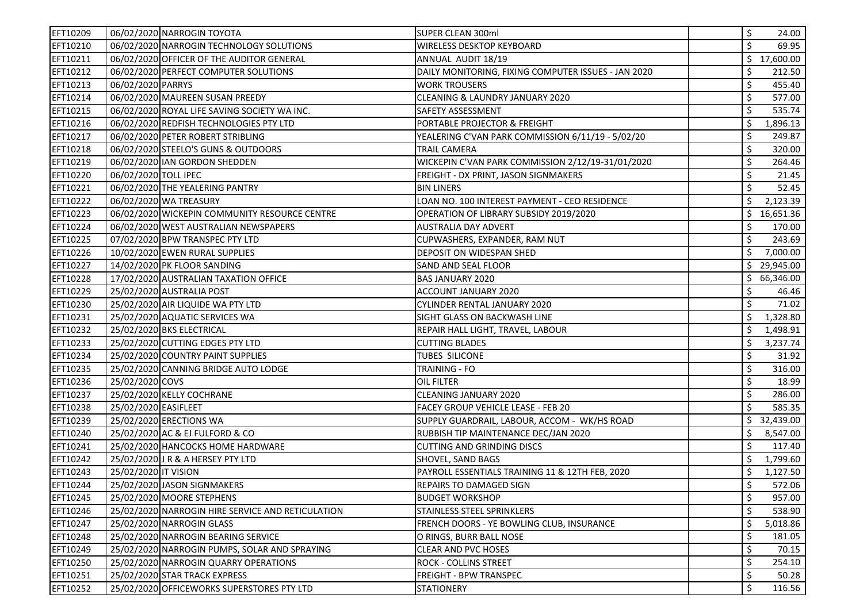| EFT10209 | 06/02/2020 NARROGIN TOYOTA                        | SUPER CLEAN 300ml                                   | \$  | 24.00       |
|----------|---------------------------------------------------|-----------------------------------------------------|-----|-------------|
| EFT10210 | 06/02/2020 NARROGIN TECHNOLOGY SOLUTIONS          | <b>WIRELESS DESKTOP KEYBOARD</b>                    | Ś   | 69.95       |
| EFT10211 | 06/02/2020 OFFICER OF THE AUDITOR GENERAL         | ANNUAL AUDIT 18/19                                  | \$. | 17,600.00   |
| EFT10212 | 06/02/2020 PERFECT COMPUTER SOLUTIONS             | DAILY MONITORING, FIXING COMPUTER ISSUES - JAN 2020 | \$  | 212.50      |
| EFT10213 | 06/02/2020 PARRYS                                 | <b>WORK TROUSERS</b>                                | \$  | 455.40      |
| EFT10214 | 06/02/2020 MAUREEN SUSAN PREEDY                   | CLEANING & LAUNDRY JANUARY 2020                     | \$  | 577.00      |
| EFT10215 | 06/02/2020 ROYAL LIFE SAVING SOCIETY WA INC.      | SAFETY ASSESSMENT                                   | Ś   | 535.74      |
| EFT10216 | 06/02/2020 REDFISH TECHNOLOGIES PTY LTD           | PORTABLE PROJECTOR & FREIGHT                        | \$  | 1,896.13    |
| EFT10217 | 06/02/2020 PETER ROBERT STRIBLING                 | YEALERING C'VAN PARK COMMISSION 6/11/19 - 5/02/20   | \$  | 249.87      |
| EFT10218 | 06/02/2020 STEELO'S GUNS & OUTDOORS               | TRAIL CAMERA                                        | \$  | 320.00      |
| EFT10219 | 06/02/2020 IAN GORDON SHEDDEN                     | WICKEPIN C'VAN PARK COMMISSION 2/12/19-31/01/2020   | \$  | 264.46      |
| EFT10220 | 06/02/2020 TOLL IPEC                              | FREIGHT - DX PRINT, JASON SIGNMAKERS                | \$  | 21.45       |
| EFT10221 | 06/02/2020 THE YEALERING PANTRY                   | <b>BIN LINERS</b>                                   | \$  | 52.45       |
| EFT10222 | 06/02/2020 WA TREASURY                            | LOAN NO. 100 INTEREST PAYMENT - CEO RESIDENCE       | \$  | 2,123.39    |
| EFT10223 | 06/02/2020 WICKEPIN COMMUNITY RESOURCE CENTRE     | OPERATION OF LIBRARY SUBSIDY 2019/2020              |     | \$16,651.36 |
| EFT10224 | 06/02/2020 WEST AUSTRALIAN NEWSPAPERS             | AUSTRALIA DAY ADVERT                                | \$  | 170.00      |
| EFT10225 | 07/02/2020 BPW TRANSPEC PTY LTD                   | CUPWASHERS, EXPANDER, RAM NUT                       | \$  | 243.69      |
| EFT10226 | 10/02/2020 EWEN RURAL SUPPLIES                    | DEPOSIT ON WIDESPAN SHED                            | \$  | 7,000.00    |
| EFT10227 | 14/02/2020 PK FLOOR SANDING                       | SAND AND SEAL FLOOR                                 |     | \$29,945.00 |
| EFT10228 | 17/02/2020 AUSTRALIAN TAXATION OFFICE             | <b>BAS JANUARY 2020</b>                             | \$. | 66,346.00   |
| EFT10229 | 25/02/2020 AUSTRALIA POST                         | ACCOUNT JANUARY 2020                                | \$  | 46.46       |
| EFT10230 | 25/02/2020 AIR LIQUIDE WA PTY LTD                 | CYLINDER RENTAL JANUARY 2020                        | Ś   | 71.02       |
| EFT10231 | 25/02/2020 AQUATIC SERVICES WA                    | SIGHT GLASS ON BACKWASH LINE                        | \$  | 1,328.80    |
| EFT10232 | 25/02/2020 BKS ELECTRICAL                         | REPAIR HALL LIGHT, TRAVEL, LABOUR                   | \$  | 1,498.91    |
| EFT10233 | 25/02/2020 CUTTING EDGES PTY LTD                  | <b>CUTTING BLADES</b>                               | \$  | 3,237.74    |
| EFT10234 | 25/02/2020 COUNTRY PAINT SUPPLIES                 | TUBES SILICONE                                      | Ś   | 31.92       |
| EFT10235 | 25/02/2020 CANNING BRIDGE AUTO LODGE              | TRAINING - FO                                       | \$  | 316.00      |
| EFT10236 | 25/02/2020 COVS                                   | OIL FILTER                                          | Ś   | 18.99       |
| EFT10237 | 25/02/2020 KELLY COCHRANE                         | CLEANING JANUARY 2020                               | \$  | 286.00      |
| EFT10238 | 25/02/2020 EASIFLEET                              | FACEY GROUP VEHICLE LEASE - FEB 20                  | \$  | 585.35      |
| EFT10239 | 25/02/2020 ERECTIONS WA                           | SUPPLY GUARDRAIL, LABOUR, ACCOM - WK/HS ROAD        | \$. | 32,439.00   |
| EFT10240 | 25/02/2020 AC & EJ FULFORD & CO                   | RUBBISH TIP MAINTENANCE DEC/JAN 2020                | \$  | 8,547.00    |
| EFT10241 | 25/02/2020 HANCOCKS HOME HARDWARE                 | <b>CUTTING AND GRINDING DISCS</b>                   | \$  | 117.40      |
| EFT10242 | 25/02/2020 J R & A HERSEY PTY LTD                 | SHOVEL, SAND BAGS                                   | \$  | 1,799.60    |
| EFT10243 | 25/02/2020 IT VISION                              | PAYROLL ESSENTIALS TRAINING 11 & 12TH FEB, 2020     | \$  | 1,127.50    |
| EFT10244 | 25/02/2020 JASON SIGNMAKERS                       | REPAIRS TO DAMAGED SIGN                             | \$  | 572.06      |
| EFT10245 | 25/02/2020 MOORE STEPHENS                         | <b>BUDGET WORKSHOP</b>                              | \$  | 957.00      |
| EFT10246 | 25/02/2020 NARROGIN HIRE SERVICE AND RETICULATION | STAINLESS STEEL SPRINKLERS                          | \$  | 538.90      |
| EFT10247 | 25/02/2020 NARROGIN GLASS                         | FRENCH DOORS - YE BOWLING CLUB. INSURANCE           | \$  | 5,018.86    |
| EFT10248 | 25/02/2020 NARROGIN BEARING SERVICE               | O RINGS, BURR BALL NOSE                             | \$  | 181.05      |
| EFT10249 | 25/02/2020 NARROGIN PUMPS, SOLAR AND SPRAYING     | <b>CLEAR AND PVC HOSES</b>                          | \$  | 70.15       |
| EFT10250 | 25/02/2020 NARROGIN QUARRY OPERATIONS             | ROCK - COLLINS STREET                               | \$  | 254.10      |
| EFT10251 | 25/02/2020 STAR TRACK EXPRESS                     | FREIGHT - BPW TRANSPEC                              | \$  | 50.28       |
| EFT10252 | 25/02/2020 OFFICEWORKS SUPERSTORES PTY LTD        | <b>STATIONERY</b>                                   | \$  | 116.56      |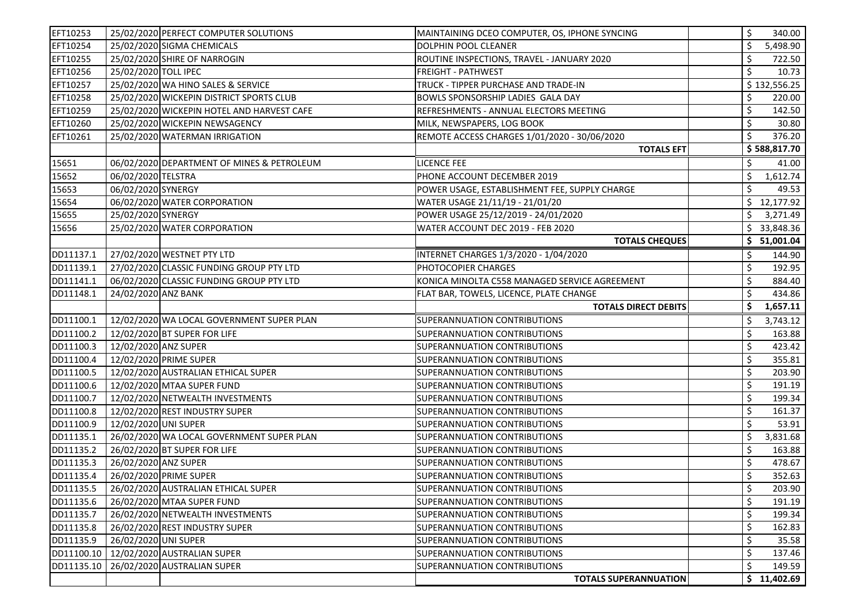| EFT10253   | 25/02/2020 PERFECT COMPUTER SOLUTIONS      | MAINTAINING DCEO COMPUTER, OS, IPHONE SYNCING | \$<br>340.00   |
|------------|--------------------------------------------|-----------------------------------------------|----------------|
| EFT10254   | 25/02/2020 SIGMA CHEMICALS                 | DOLPHIN POOL CLEANER                          | \$<br>5,498.90 |
| EFT10255   | 25/02/2020 SHIRE OF NARROGIN               | ROUTINE INSPECTIONS, TRAVEL - JANUARY 2020    | \$<br>722.50   |
| EFT10256   | 25/02/2020 TOLL IPEC                       | <b>FREIGHT - PATHWEST</b>                     | \$<br>10.73    |
| EFT10257   | 25/02/2020 WA HINO SALES & SERVICE         | TRUCK - TIPPER PURCHASE AND TRADE-IN          | \$132,556.25   |
| EFT10258   | 25/02/2020 WICKEPIN DISTRICT SPORTS CLUB   | BOWLS SPONSORSHIP LADIES GALA DAY             | \$<br>220.00   |
| EFT10259   | 25/02/2020 WICKEPIN HOTEL AND HARVEST CAFE | REFRESHMENTS - ANNUAL ELECTORS MEETING        | \$<br>142.50   |
| EFT10260   | 25/02/2020 WICKEPIN NEWSAGENCY             | MILK, NEWSPAPERS, LOG BOOK                    | \$<br>30.80    |
| EFT10261   | 25/02/2020 WATERMAN IRRIGATION             | REMOTE ACCESS CHARGES 1/01/2020 - 30/06/2020  | Ś<br>376.20    |
|            |                                            | <b>TOTALS EFT</b>                             | \$588,817.70   |
| 15651      | 06/02/2020 DEPARTMENT OF MINES & PETROLEUM | LICENCE FEE                                   | 41.00<br>\$.   |
| 15652      | 06/02/2020 TELSTRA                         | PHONE ACCOUNT DECEMBER 2019                   | \$<br>1,612.74 |
| 15653      | 06/02/2020 SYNERGY                         | POWER USAGE, ESTABLISHMENT FEE, SUPPLY CHARGE | \$<br>49.53    |
| 15654      | 06/02/2020 WATER CORPORATION               | WATER USAGE 21/11/19 - 21/01/20               | \$12,177.92    |
| 15655      | 25/02/2020 SYNERGY                         | POWER USAGE 25/12/2019 - 24/01/2020           | \$<br>3,271.49 |
| 15656      | 25/02/2020 WATER CORPORATION               | WATER ACCOUNT DEC 2019 - FEB 2020             | \$33,848.36    |
|            |                                            | <b>TOTALS CHEQUES</b>                         | \$ 51,001.04   |
| DD11137.1  | 27/02/2020 WESTNET PTY LTD                 | INTERNET CHARGES 1/3/2020 - 1/04/2020         | \$<br>144.90   |
| DD11139.1  | 27/02/2020 CLASSIC FUNDING GROUP PTY LTD   | PHOTOCOPIER CHARGES                           | \$<br>192.95   |
| DD11141.1  | 06/02/2020 CLASSIC FUNDING GROUP PTY LTD   | KONICA MINOLTA C558 MANAGED SERVICE AGREEMENT | \$<br>884.40   |
| DD11148.1  | 24/02/2020 ANZ BANK                        | FLAT BAR, TOWELS, LICENCE, PLATE CHANGE       | \$<br>434.86   |
|            |                                            | <b>TOTALS DIRECT DEBITS</b>                   | 1,657.11<br>\$ |
| DD11100.1  | 12/02/2020 WA LOCAL GOVERNMENT SUPER PLAN  | SUPERANNUATION CONTRIBUTIONS                  | 3,743.12<br>\$ |
| DD11100.2  | 12/02/2020 BT SUPER FOR LIFE               | SUPERANNUATION CONTRIBUTIONS                  | \$<br>163.88   |
| DD11100.3  | 12/02/2020 ANZ SUPER                       | SUPERANNUATION CONTRIBUTIONS                  | \$<br>423.42   |
| DD11100.4  | 12/02/2020 PRIME SUPER                     | SUPERANNUATION CONTRIBUTIONS                  | \$<br>355.81   |
| DD11100.5  | 12/02/2020 AUSTRALIAN ETHICAL SUPER        | SUPERANNUATION CONTRIBUTIONS                  | \$<br>203.90   |
| DD11100.6  | 12/02/2020 MTAA SUPER FUND                 | SUPERANNUATION CONTRIBUTIONS                  | \$<br>191.19   |
| DD11100.7  | 12/02/2020 NETWEALTH INVESTMENTS           | SUPERANNUATION CONTRIBUTIONS                  | \$<br>199.34   |
| DD11100.8  | 12/02/2020 REST INDUSTRY SUPER             | SUPERANNUATION CONTRIBUTIONS                  | \$<br>161.37   |
| DD11100.9  | 12/02/2020 UNI SUPER                       | SUPERANNUATION CONTRIBUTIONS                  | \$<br>53.91    |
| DD11135.1  | 26/02/2020 WA LOCAL GOVERNMENT SUPER PLAN  | SUPERANNUATION CONTRIBUTIONS                  | \$<br>3,831.68 |
| DD11135.2  | 26/02/2020 BT SUPER FOR LIFE               | SUPERANNUATION CONTRIBUTIONS                  | \$<br>163.88   |
| DD11135.3  | 26/02/2020 ANZ SUPER                       | SUPERANNUATION CONTRIBUTIONS                  | \$<br>478.67   |
| DD11135.4  | 26/02/2020 PRIME SUPER                     | SUPERANNUATION CONTRIBUTIONS                  | \$<br>352.63   |
| DD11135.5  | 26/02/2020 AUSTRALIAN ETHICAL SUPER        | SUPERANNUATION CONTRIBUTIONS                  | 203.90<br>Ş    |
| DD11135.6  | 26/02/2020 MTAA SUPER FUND                 | SUPERANNUATION CONTRIBUTIONS                  | \$<br>191.19   |
| DD11135.7  | 26/02/2020 NETWEALTH INVESTMENTS           | SUPERANNUATION CONTRIBUTIONS                  | \$<br>199.34   |
| DD11135.8  | 26/02/2020 REST INDUSTRY SUPER             | SUPERANNUATION CONTRIBUTIONS                  | \$<br>162.83   |
| DD11135.9  | 26/02/2020 UNI SUPER                       | SUPERANNUATION CONTRIBUTIONS                  | \$<br>35.58    |
| DD11100.10 | 12/02/2020 AUSTRALIAN SUPER                | SUPERANNUATION CONTRIBUTIONS                  | \$<br>137.46   |
| DD11135.10 | 26/02/2020 AUSTRALIAN SUPER                | SUPERANNUATION CONTRIBUTIONS                  | \$<br>149.59   |
|            |                                            | <b>TOTALS SUPERANNUATION</b>                  | \$11,402.69    |